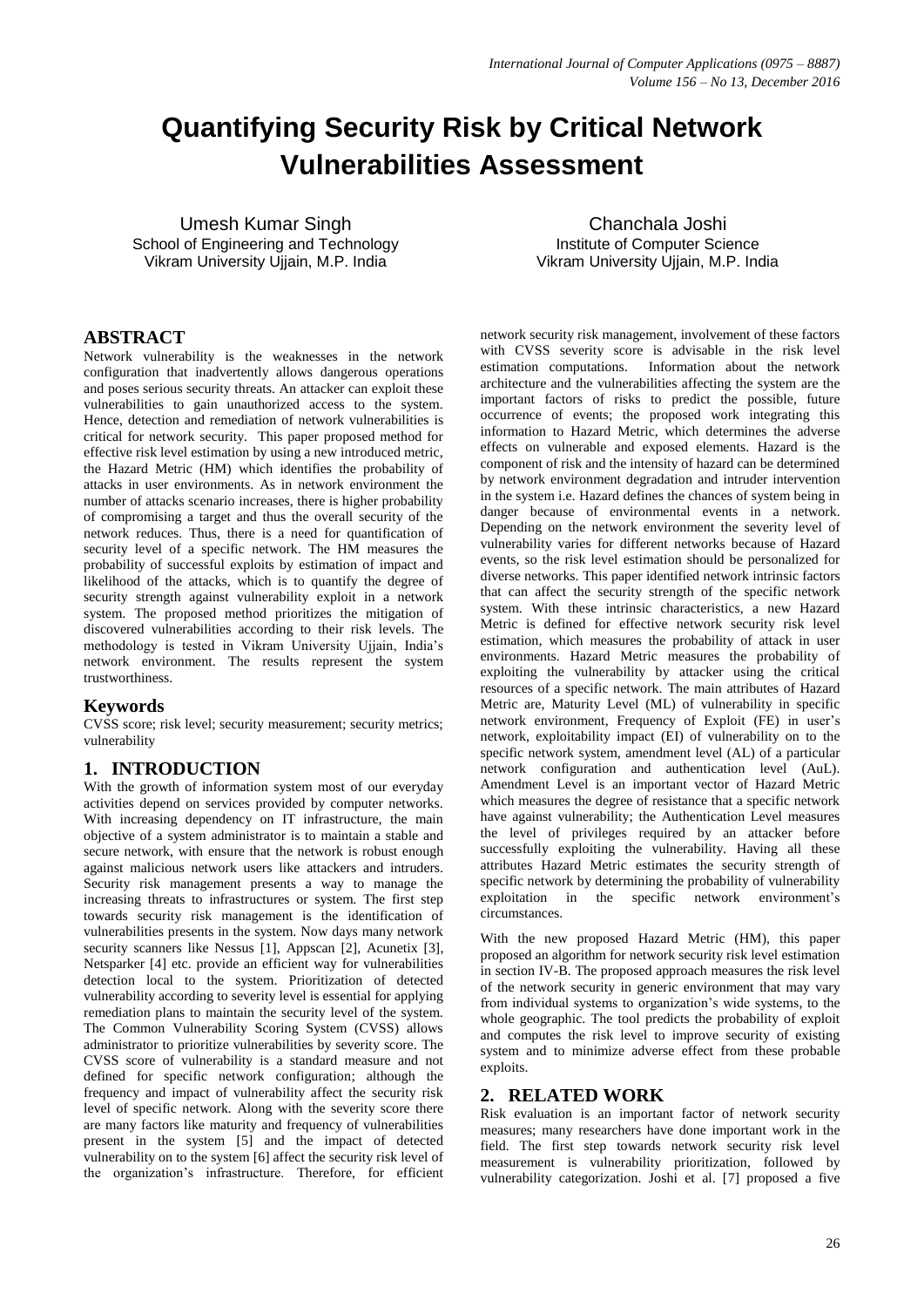# **Quantifying Security Risk by Critical Network Vulnerabilities Assessment**

Umesh Kumar Singh School of Engineering and Technology Vikram University Ujjain, M.P. India

Chanchala Joshi Institute of Computer Science Vikram University Ujjain, M.P. India

## **ABSTRACT**

Network vulnerability is the weaknesses in the network configuration that inadvertently allows dangerous operations and poses serious security threats. An attacker can exploit these vulnerabilities to gain unauthorized access to the system. Hence, detection and remediation of network vulnerabilities is critical for network security. This paper proposed method for effective risk level estimation by using a new introduced metric, the Hazard Metric (HM) which identifies the probability of attacks in user environments. As in network environment the number of attacks scenario increases, there is higher probability of compromising a target and thus the overall security of the network reduces. Thus, there is a need for quantification of security level of a specific network. The HM measures the probability of successful exploits by estimation of impact and likelihood of the attacks, which is to quantify the degree of security strength against vulnerability exploit in a network system. The proposed method prioritizes the mitigation of discovered vulnerabilities according to their risk levels. The methodology is tested in Vikram University Ujjain, India's network environment. The results represent the system trustworthiness.

## **Keywords**

CVSS score; risk level; security measurement; security metrics; vulnerability

## **1. INTRODUCTION**

With the growth of information system most of our everyday activities depend on services provided by computer networks. With increasing dependency on IT infrastructure, the main objective of a system administrator is to maintain a stable and secure network, with ensure that the network is robust enough against malicious network users like attackers and intruders. Security risk management presents a way to manage the increasing threats to infrastructures or system. The first step towards security risk management is the identification of vulnerabilities presents in the system. Now days many network security scanners like Nessus [1], Appscan [2], Acunetix [3], Netsparker [4] etc. provide an efficient way for vulnerabilities detection local to the system. Prioritization of detected vulnerability according to severity level is essential for applying remediation plans to maintain the security level of the system. The Common Vulnerability Scoring System (CVSS) allows administrator to prioritize vulnerabilities by severity score. The CVSS score of vulnerability is a standard measure and not defined for specific network configuration; although the frequency and impact of vulnerability affect the security risk level of specific network. Along with the severity score there are many factors like maturity and frequency of vulnerabilities present in the system [5] and the impact of detected vulnerability on to the system [6] affect the security risk level of the organization's infrastructure. Therefore, for efficient

network security risk management, involvement of these factors with CVSS severity score is advisable in the risk level estimation computations. Information about the network architecture and the vulnerabilities affecting the system are the important factors of risks to predict the possible, future occurrence of events; the proposed work integrating this information to Hazard Metric, which determines the adverse effects on vulnerable and exposed elements. Hazard is the component of risk and the intensity of hazard can be determined by network environment degradation and intruder intervention in the system i.e. Hazard defines the chances of system being in danger because of environmental events in a network. Depending on the network environment the severity level of vulnerability varies for different networks because of Hazard events, so the risk level estimation should be personalized for diverse networks. This paper identified network intrinsic factors that can affect the security strength of the specific network system. With these intrinsic characteristics, a new Hazard Metric is defined for effective network security risk level estimation, which measures the probability of attack in user environments. Hazard Metric measures the probability of exploiting the vulnerability by attacker using the critical resources of a specific network. The main attributes of Hazard Metric are, Maturity Level (ML) of vulnerability in specific network environment, Frequency of Exploit (FE) in user's network, exploitability impact (EI) of vulnerability on to the specific network system, amendment level (AL) of a particular network configuration and authentication level (AuL). Amendment Level is an important vector of Hazard Metric which measures the degree of resistance that a specific network have against vulnerability; the Authentication Level measures the level of privileges required by an attacker before successfully exploiting the vulnerability. Having all these attributes Hazard Metric estimates the security strength of specific network by determining the probability of vulnerability exploitation in the specific network environment's circumstances.

With the new proposed Hazard Metric (HM), this paper proposed an algorithm for network security risk level estimation in section IV-B. The proposed approach measures the risk level of the network security in generic environment that may vary from individual systems to organization's wide systems, to the whole geographic. The tool predicts the probability of exploit and computes the risk level to improve security of existing system and to minimize adverse effect from these probable exploits.

## **2. RELATED WORK**

Risk evaluation is an important factor of network security measures; many researchers have done important work in the field. The first step towards network security risk level measurement is vulnerability prioritization, followed by vulnerability categorization. Joshi et al. [7] proposed a five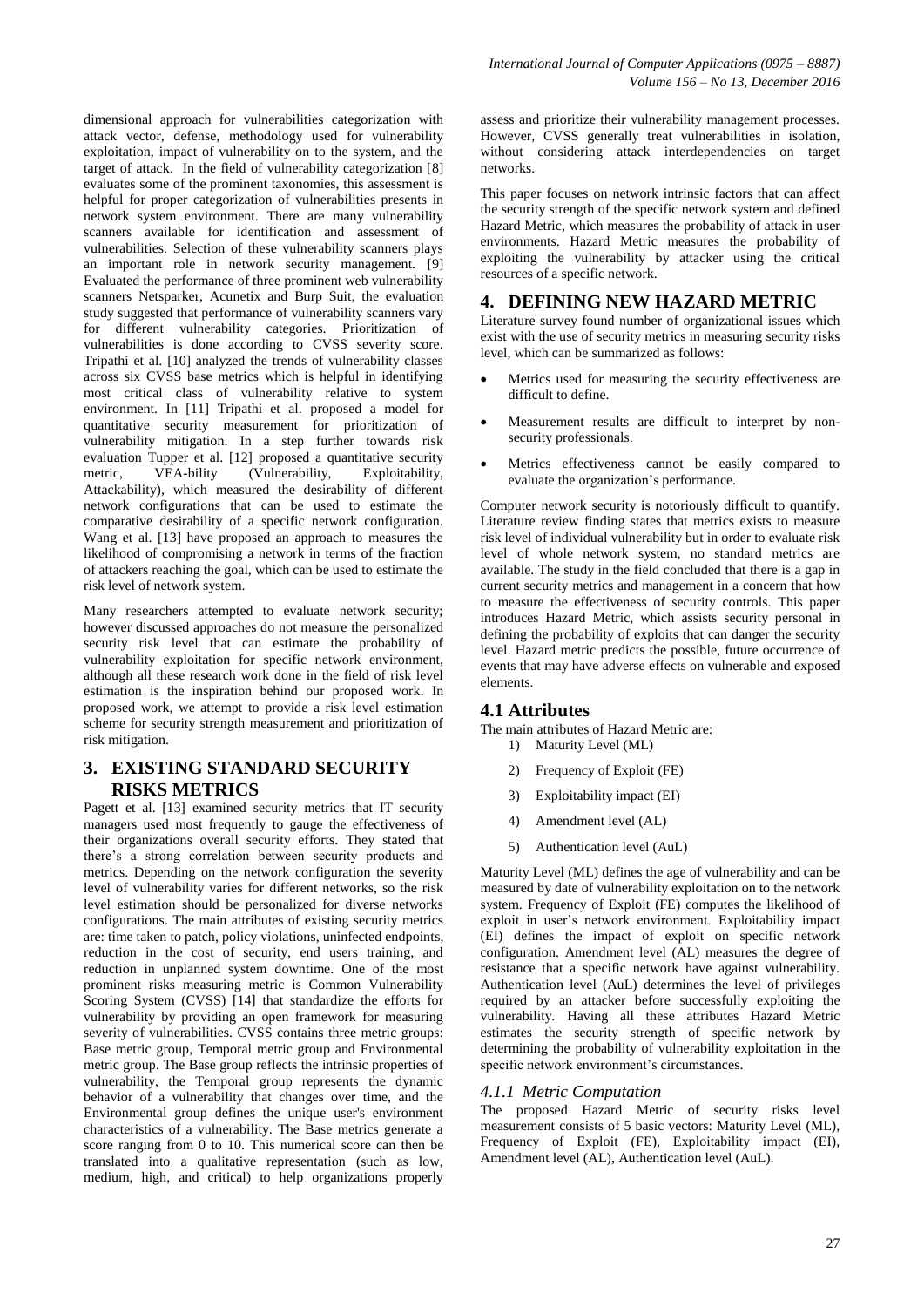dimensional approach for vulnerabilities categorization with attack vector, defense, methodology used for vulnerability exploitation, impact of vulnerability on to the system, and the target of attack. In the field of vulnerability categorization [8] evaluates some of the prominent taxonomies, this assessment is helpful for proper categorization of vulnerabilities presents in network system environment. There are many vulnerability scanners available for identification and assessment of vulnerabilities. Selection of these vulnerability scanners plays an important role in network security management. [9] Evaluated the performance of three prominent web vulnerability scanners Netsparker, Acunetix and Burp Suit, the evaluation study suggested that performance of vulnerability scanners vary for different vulnerability categories. Prioritization of vulnerabilities is done according to CVSS severity score. Tripathi et al. [10] analyzed the trends of vulnerability classes across six CVSS base metrics which is helpful in identifying most critical class of vulnerability relative to system environment. In [11] Tripathi et al. proposed a model for quantitative security measurement for prioritization of vulnerability mitigation. In a step further towards risk evaluation Tupper et al. [12] proposed a quantitative security metric, VEA-bility (Vulnerability, Exploitability, Attackability), which measured the desirability of different network configurations that can be used to estimate the comparative desirability of a specific network configuration. Wang et al. [13] have proposed an approach to measures the likelihood of compromising a network in terms of the fraction of attackers reaching the goal, which can be used to estimate the risk level of network system.

Many researchers attempted to evaluate network security; however discussed approaches do not measure the personalized security risk level that can estimate the probability of vulnerability exploitation for specific network environment, although all these research work done in the field of risk level estimation is the inspiration behind our proposed work. In proposed work, we attempt to provide a risk level estimation scheme for security strength measurement and prioritization of risk mitigation.

# **3. EXISTING STANDARD SECURITY RISKS METRICS**

Pagett et al. [13] examined security metrics that IT security managers used most frequently to gauge the effectiveness of their organizations overall security efforts. They stated that there's a strong correlation between security products and metrics. Depending on the network configuration the severity level of vulnerability varies for different networks, so the risk level estimation should be personalized for diverse networks configurations. The main attributes of existing security metrics are: time taken to patch, policy violations, uninfected endpoints, reduction in the cost of security, end users training, and reduction in unplanned system downtime. One of the most prominent risks measuring metric is Common Vulnerability Scoring System (CVSS) [14] that standardize the efforts for vulnerability by providing an open framework for measuring severity of vulnerabilities. CVSS contains three metric groups: Base metric group, Temporal metric group and Environmental metric group. The Base group reflects the intrinsic properties of vulnerability, the Temporal group represents the dynamic behavior of a vulnerability that changes over time, and the Environmental group defines the unique user's environment characteristics of a vulnerability. The Base metrics generate a score ranging from 0 to 10. This numerical score can then be translated into a qualitative representation (such as low, medium, high, and critical) to help organizations properly

assess and prioritize their vulnerability management processes. However, CVSS generally treat vulnerabilities in isolation, without considering attack interdependencies on target networks.

This paper focuses on network intrinsic factors that can affect the security strength of the specific network system and defined Hazard Metric, which measures the probability of attack in user environments. Hazard Metric measures the probability of exploiting the vulnerability by attacker using the critical resources of a specific network.

# **4. DEFINING NEW HAZARD METRIC**

Literature survey found number of organizational issues which exist with the use of security metrics in measuring security risks level, which can be summarized as follows:

- Metrics used for measuring the security effectiveness are difficult to define.
- Measurement results are difficult to interpret by nonsecurity professionals.
- Metrics effectiveness cannot be easily compared to evaluate the organization's performance.

Computer network security is notoriously difficult to quantify. Literature review finding states that metrics exists to measure risk level of individual vulnerability but in order to evaluate risk level of whole network system, no standard metrics are available. The study in the field concluded that there is a gap in current security metrics and management in a concern that how to measure the effectiveness of security controls. This paper introduces Hazard Metric, which assists security personal in defining the probability of exploits that can danger the security level. Hazard metric predicts the possible, future occurrence of events that may have adverse effects on vulnerable and exposed elements.

# **4.1 Attributes**

The main attributes of Hazard Metric are: 1) Maturity Level (ML)

- 2) Frequency of Exploit (FE)
- 3) Exploitability impact (EI)
- 4) Amendment level (AL)
- 5) Authentication level (AuL)

Maturity Level (ML) defines the age of vulnerability and can be measured by date of vulnerability exploitation on to the network system. Frequency of Exploit (FE) computes the likelihood of exploit in user's network environment. Exploitability impact (EI) defines the impact of exploit on specific network configuration. Amendment level (AL) measures the degree of resistance that a specific network have against vulnerability. Authentication level (AuL) determines the level of privileges required by an attacker before successfully exploiting the vulnerability. Having all these attributes Hazard Metric estimates the security strength of specific network by determining the probability of vulnerability exploitation in the specific network environment's circumstances.

# *4.1.1 Metric Computation*

The proposed Hazard Metric of security risks level measurement consists of 5 basic vectors: Maturity Level (ML), Frequency of Exploit (FE), Exploitability impact (EI), Amendment level (AL), Authentication level (AuL).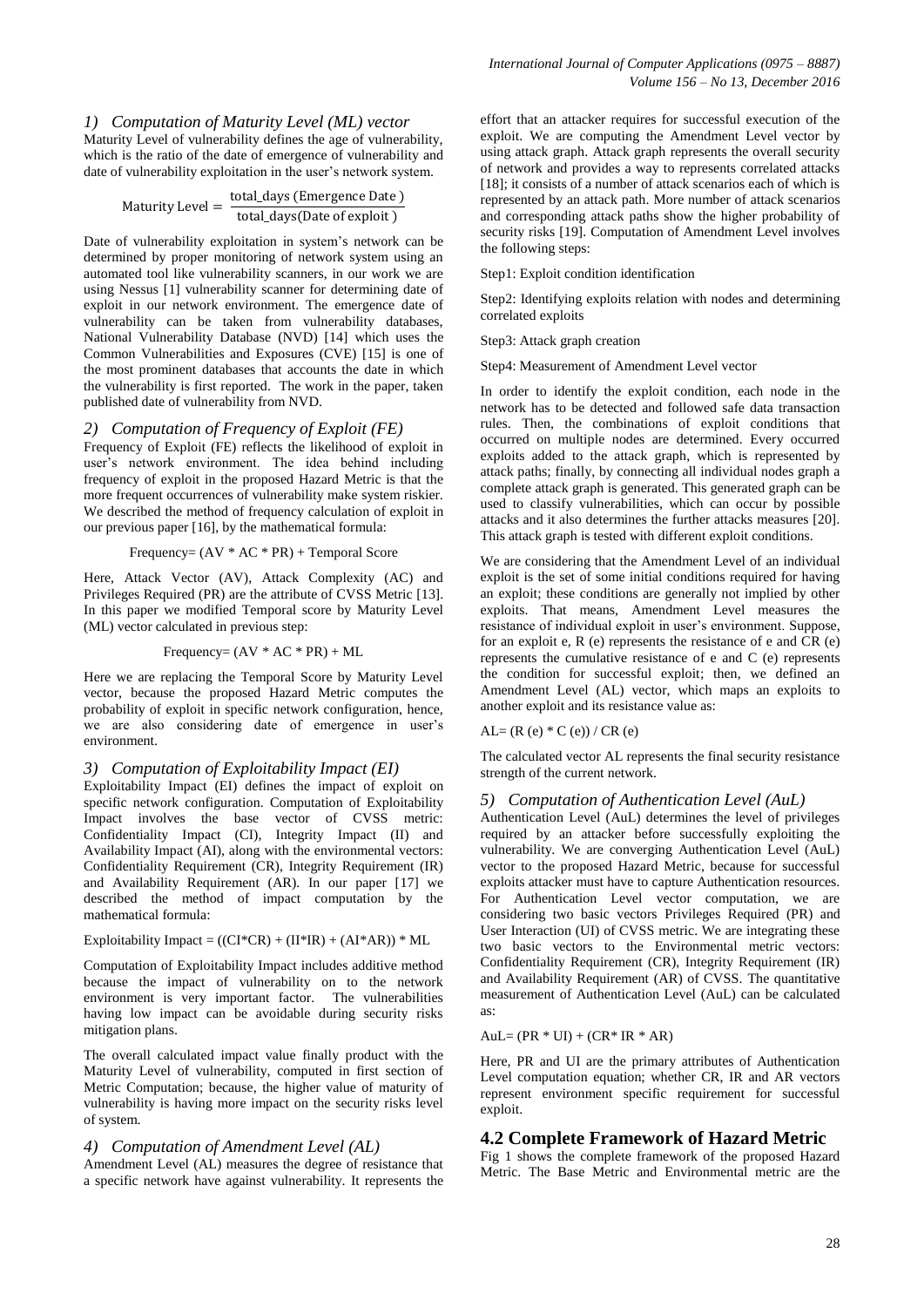Maturity Level of vulnerability defines the age of vulnerability, which is the ratio of the date of emergence of vulnerability and date of vulnerability exploitation in the user's network system.

$$
Maturity Level = \frac{total\_days \ (Emergence Date)}{total\_days (Date of exploit)}
$$

Date of vulnerability exploitation in system's network can be determined by proper monitoring of network system using an automated tool like vulnerability scanners, in our work we are using Nessus [1] vulnerability scanner for determining date of exploit in our network environment. The emergence date of vulnerability can be taken from vulnerability databases, National Vulnerability Database (NVD) [14] which uses the Common Vulnerabilities and Exposures (CVE) [15] is one of the most prominent databases that accounts the date in which the vulnerability is first reported. The work in the paper, taken published date of vulnerability from NVD.

#### *2) Computation of Frequency of Exploit (FE)*

Frequency of Exploit (FE) reflects the likelihood of exploit in user's network environment. The idea behind including frequency of exploit in the proposed Hazard Metric is that the more frequent occurrences of vulnerability make system riskier. We described the method of frequency calculation of exploit in our previous paper [16], by the mathematical formula:

Frequency= 
$$
(AV * AC * PR) + Temporal Score
$$

Here, Attack Vector (AV), Attack Complexity (AC) and Privileges Required (PR) are the attribute of CVSS Metric [13]. In this paper we modified Temporal score by Maturity Level (ML) vector calculated in previous step:

Frequency= 
$$
(AV * AC * PR) + ML
$$

Here we are replacing the Temporal Score by Maturity Level vector, because the proposed Hazard Metric computes the probability of exploit in specific network configuration, hence, we are also considering date of emergence in user's environment.

#### *3) Computation of Exploitability Impact (EI)*

Exploitability Impact (EI) defines the impact of exploit on specific network configuration. Computation of Exploitability Impact involves the base vector of CVSS metric: Confidentiality Impact (CI), Integrity Impact (II) and Availability Impact (AI), along with the environmental vectors: Confidentiality Requirement (CR), Integrity Requirement (IR) and Availability Requirement (AR). In our paper [17] we described the method of impact computation by the mathematical formula:

#### Exploitability Impact =  $((CI*CR) + (II*IR) + (AI*AR)) * ML$

Computation of Exploitability Impact includes additive method because the impact of vulnerability on to the network environment is very important factor. The vulnerabilities having low impact can be avoidable during security risks mitigation plans.

The overall calculated impact value finally product with the Maturity Level of vulnerability, computed in first section of Metric Computation; because, the higher value of maturity of vulnerability is having more impact on the security risks level of system.

## *4) Computation of Amendment Level (AL)*

Amendment Level (AL) measures the degree of resistance that a specific network have against vulnerability. It represents the effort that an attacker requires for successful execution of the exploit. We are computing the Amendment Level vector by using attack graph. Attack graph represents the overall security of network and provides a way to represents correlated attacks  $[18]$ ; it consists of a number of attack scenarios each of which is represented by an attack path. More number of attack scenarios and corresponding attack paths show the higher probability of security risks [19]. Computation of Amendment Level involves the following steps:

#### Step1: Exploit condition identification

Step2: Identifying exploits relation with nodes and determining correlated exploits

#### Step3: Attack graph creation

Step4: Measurement of Amendment Level vector

In order to identify the exploit condition, each node in the network has to be detected and followed safe data transaction rules. Then, the combinations of exploit conditions that occurred on multiple nodes are determined. Every occurred exploits added to the attack graph, which is represented by attack paths; finally, by connecting all individual nodes graph a complete attack graph is generated. This generated graph can be used to classify vulnerabilities, which can occur by possible attacks and it also determines the further attacks measures [20]. This attack graph is tested with different exploit conditions.

We are considering that the Amendment Level of an individual exploit is the set of some initial conditions required for having an exploit; these conditions are generally not implied by other exploits. That means, Amendment Level measures the resistance of individual exploit in user's environment. Suppose, for an exploit e,  $R$  (e) represents the resistance of e and  $CR$  (e) represents the cumulative resistance of e and C (e) represents the condition for successful exploit; then, we defined an Amendment Level (AL) vector, which maps an exploits to another exploit and its resistance value as:

 $AL=(R (e)*C (e))/CR (e)$ 

The calculated vector AL represents the final security resistance strength of the current network.

#### *5) Computation of Authentication Level (AuL)*

Authentication Level (AuL) determines the level of privileges required by an attacker before successfully exploiting the vulnerability. We are converging Authentication Level (AuL) vector to the proposed Hazard Metric, because for successful exploits attacker must have to capture Authentication resources. For Authentication Level vector computation, we are considering two basic vectors Privileges Required (PR) and User Interaction (UI) of CVSS metric. We are integrating these two basic vectors to the Environmental metric vectors: Confidentiality Requirement (CR), Integrity Requirement (IR) and Availability Requirement (AR) of CVSS. The quantitative measurement of Authentication Level (AuL) can be calculated as:

#### $AuL = (PR * UI) + (CR * IR * AR)$

Here, PR and UI are the primary attributes of Authentication Level computation equation; whether CR, IR and AR vectors represent environment specific requirement for successful exploit.

#### **4.2 Complete Framework of Hazard Metric**

Fig 1 shows the complete framework of the proposed Hazard Metric. The Base Metric and Environmental metric are the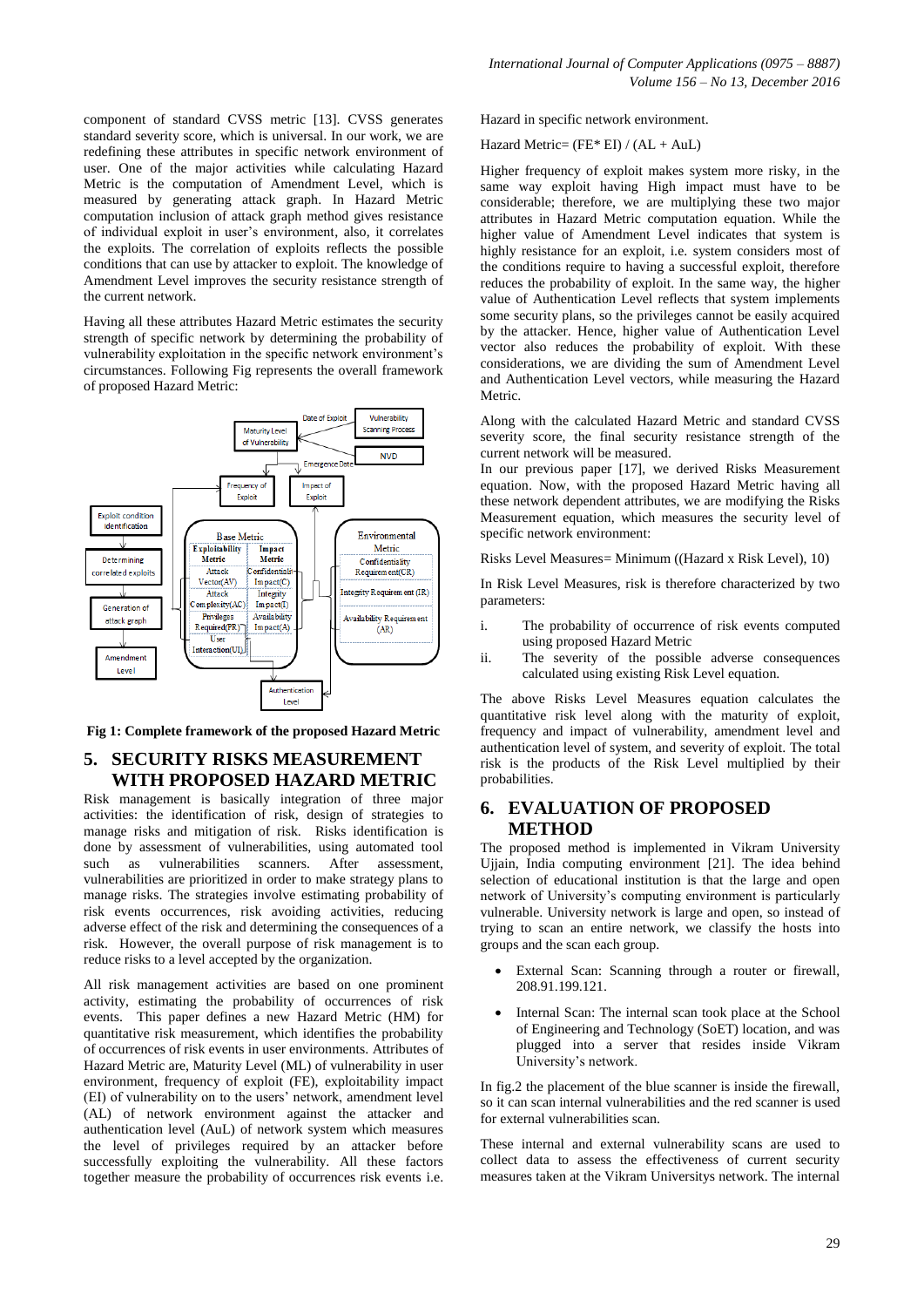component of standard CVSS metric [13]. CVSS generates standard severity score, which is universal. In our work, we are redefining these attributes in specific network environment of user. One of the major activities while calculating Hazard Metric is the computation of Amendment Level, which is measured by generating attack graph. In Hazard Metric computation inclusion of attack graph method gives resistance of individual exploit in user's environment, also, it correlates the exploits. The correlation of exploits reflects the possible conditions that can use by attacker to exploit. The knowledge of Amendment Level improves the security resistance strength of the current network.

Having all these attributes Hazard Metric estimates the security strength of specific network by determining the probability of vulnerability exploitation in the specific network environment's circumstances. Following Fig represents the overall framework of proposed Hazard Metric:



**Fig 1: Complete framework of the proposed Hazard Metric** 

# **5. SECURITY RISKS MEASUREMENT WITH PROPOSED HAZARD METRIC**

Risk management is basically integration of three major activities: the identification of risk, design of strategies to manage risks and mitigation of risk. Risks identification is done by assessment of vulnerabilities, using automated tool such as vulnerabilities scanners. After assessment, vulnerabilities are prioritized in order to make strategy plans to manage risks. The strategies involve estimating probability of risk events occurrences, risk avoiding activities, reducing adverse effect of the risk and determining the consequences of a risk. However, the overall purpose of risk management is to reduce risks to a level accepted by the organization.

All risk management activities are based on one prominent activity, estimating the probability of occurrences of risk events. This paper defines a new Hazard Metric (HM) for quantitative risk measurement, which identifies the probability of occurrences of risk events in user environments. Attributes of Hazard Metric are, Maturity Level (ML) of vulnerability in user environment, frequency of exploit (FE), exploitability impact (EI) of vulnerability on to the users' network, amendment level (AL) of network environment against the attacker and authentication level (AuL) of network system which measures the level of privileges required by an attacker before successfully exploiting the vulnerability. All these factors together measure the probability of occurrences risk events i.e.

Hazard in specific network environment.

Hazard Metric= (FE\* EI) / (AL + AuL)

Higher frequency of exploit makes system more risky, in the same way exploit having High impact must have to be considerable; therefore, we are multiplying these two major attributes in Hazard Metric computation equation. While the higher value of Amendment Level indicates that system is highly resistance for an exploit, i.e. system considers most of the conditions require to having a successful exploit, therefore reduces the probability of exploit. In the same way, the higher value of Authentication Level reflects that system implements some security plans, so the privileges cannot be easily acquired by the attacker. Hence, higher value of Authentication Level vector also reduces the probability of exploit. With these considerations, we are dividing the sum of Amendment Level and Authentication Level vectors, while measuring the Hazard **Metric** 

Along with the calculated Hazard Metric and standard CVSS severity score, the final security resistance strength of the current network will be measured.

In our previous paper [17], we derived Risks Measurement equation. Now, with the proposed Hazard Metric having all these network dependent attributes, we are modifying the Risks Measurement equation, which measures the security level of specific network environment:

Risks Level Measures= Minimum ((Hazard x Risk Level), 10)

In Risk Level Measures, risk is therefore characterized by two parameters:

- i. The probability of occurrence of risk events computed using proposed Hazard Metric
- ii. The severity of the possible adverse consequences calculated using existing Risk Level equation.

The above Risks Level Measures equation calculates the quantitative risk level along with the maturity of exploit, frequency and impact of vulnerability, amendment level and authentication level of system, and severity of exploit. The total risk is the products of the Risk Level multiplied by their probabilities.

# **6. EVALUATION OF PROPOSED METHOD**

The proposed method is implemented in Vikram University Ujjain, India computing environment [21]. The idea behind selection of educational institution is that the large and open network of University's computing environment is particularly vulnerable. University network is large and open, so instead of trying to scan an entire network, we classify the hosts into groups and the scan each group.

- External Scan: Scanning through a router or firewall, 208.91.199.121.
- Internal Scan: The internal scan took place at the School of Engineering and Technology (SoET) location, and was plugged into a server that resides inside Vikram University's network.

In fig.2 the placement of the blue scanner is inside the firewall, so it can scan internal vulnerabilities and the red scanner is used for external vulnerabilities scan.

These internal and external vulnerability scans are used to collect data to assess the effectiveness of current security measures taken at the Vikram Universitys network. The internal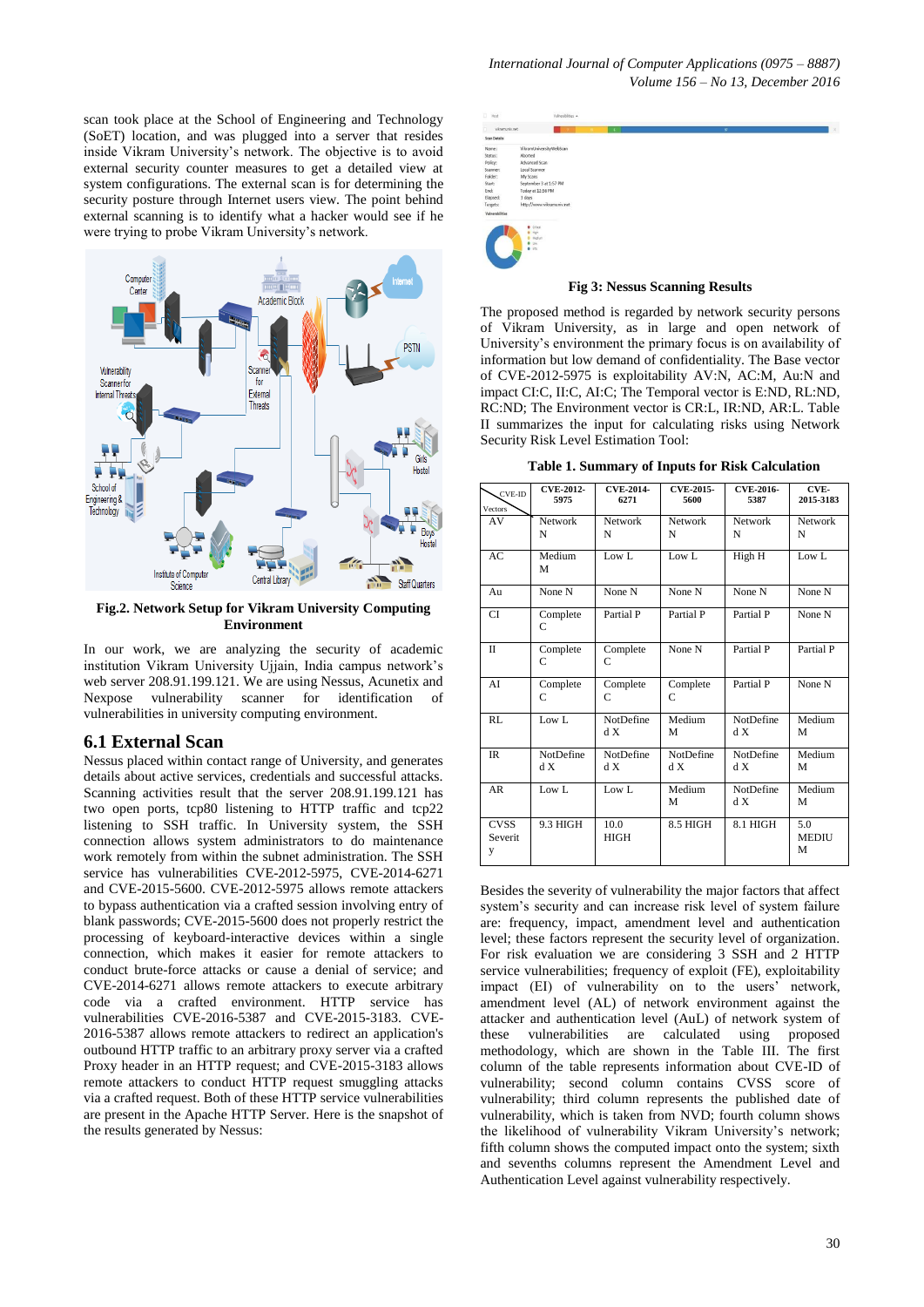scan took place at the School of Engineering and Technology (SoET) location, and was plugged into a server that resides inside Vikram University's network. The objective is to avoid external security counter measures to get a detailed view at system configurations. The external scan is for determining the security posture through Internet users view. The point behind external scanning is to identify what a hacker would see if he were trying to probe Vikram University's network.



**Fig.2. Network Setup for Vikram University Computing Environment**

In our work, we are analyzing the security of academic institution Vikram University Ujjain, India campus network's web server 208.91.199.121. We are using Nessus, Acunetix and Nexpose vulnerability scanner for identification of vulnerabilities in university computing environment.

## **6.1 External Scan**

Nessus placed within contact range of University, and generates details about active services, credentials and successful attacks. Scanning activities result that the server 208.91.199.121 has two open ports, tcp80 listening to HTTP traffic and tcp22 listening to SSH traffic. In University system, the SSH connection allows system administrators to do maintenance work remotely from within the subnet administration. The SSH service has vulnerabilities CVE-2012-5975, CVE-2014-6271 and CVE-2015-5600. CVE-2012-5975 allows remote attackers to bypass authentication via a crafted session involving entry of blank passwords; CVE-2015-5600 does not properly restrict the processing of keyboard-interactive devices within a single connection, which makes it easier for remote attackers to conduct brute-force attacks or cause a denial of service; and CVE-2014-6271 allows remote attackers to execute arbitrary code via a crafted environment. HTTP service has vulnerabilities CVE-2016-5387 and CVE-2015-3183. CVE-2016-5387 allows remote attackers to redirect an application's outbound HTTP traffic to an arbitrary proxy server via a crafted Proxy header in an HTTP request; and CVE-2015-3183 allows remote attackers to conduct HTTP request smuggling attacks via a crafted request. Both of these HTTP service vulnerabilities are present in the Apache HTTP Server. Here is the snapshot of the results generated by Nessus:



**Fig 3: Nessus Scanning Results**

The proposed method is regarded by network security persons of Vikram University, as in large and open network of University's environment the primary focus is on availability of information but low demand of confidentiality. The Base vector of CVE-2012-5975 is exploitability AV:N, AC:M, Au:N and impact CI:C, II:C, AI:C; The Temporal vector is E:ND, RL:ND, RC:ND; The Environment vector is CR:L, IR:ND, AR:L. Table II summarizes the input for calculating risks using Network Security Risk Level Estimation Tool:

**Table 1. Summary of Inputs for Risk Calculation**

| CVE-ID<br>Vectors           | <b>CVE-2012-</b><br>5975 | <b>CVE-2014-</b><br>6271 | <b>CVE-2015-</b><br>5600 | <b>CVE-2016-</b><br>5387 | CVE-<br>2015-3183        |
|-----------------------------|--------------------------|--------------------------|--------------------------|--------------------------|--------------------------|
| AV                          | Network<br>N             | <b>Network</b><br>N      | Network<br>N             | Network<br>N             | Network<br>N             |
| AC                          | Medium<br>M              | Low L                    | Low L                    | High H                   | Low L                    |
| Au                          | None N                   | None N                   | None N                   | None N                   | None N                   |
| <b>CI</b>                   | Complete<br>C            | Partial P                | Partial P                | Partial P                | None N                   |
| $\mathbf{I}$                | Complete<br>C            | Complete<br>C            | None N                   | Partial P                | Partial P                |
| AI                          | Complete<br>C            | Complete<br>C            | Complete<br>C            | Partial P                | None N                   |
| <b>RL</b>                   | Low L                    | NotDefine<br>d X         | Medium<br>M              | NotDefine<br>d X         | Medium<br>М              |
| <b>IR</b>                   | NotDefine<br>d X         | NotDefine<br>d X         | <b>NotDefine</b><br>d X  | <b>NotDefine</b><br>d X  | Medium<br>М              |
| AR                          | Low L                    | Low L                    | Medium<br>M              | NotDefine<br>d X         | Medium<br>М              |
| <b>CVSS</b><br>Severit<br>y | 9.3 HIGH                 | 10.0<br><b>HIGH</b>      | 8.5 HIGH                 | 8.1 HIGH                 | 5.0<br><b>MEDIU</b><br>М |

Besides the severity of vulnerability the major factors that affect system's security and can increase risk level of system failure are: frequency, impact, amendment level and authentication level; these factors represent the security level of organization. For risk evaluation we are considering 3 SSH and 2 HTTP service vulnerabilities; frequency of exploit (FE), exploitability impact (EI) of vulnerability on to the users' network, amendment level (AL) of network environment against the attacker and authentication level (AuL) of network system of these vulnerabilities are calculated using proposed methodology, which are shown in the Table III. The first column of the table represents information about CVE-ID of vulnerability; second column contains CVSS score of vulnerability; third column represents the published date of vulnerability, which is taken from NVD; fourth column shows the likelihood of vulnerability Vikram University's network; fifth column shows the computed impact onto the system; sixth and sevenths columns represent the Amendment Level and Authentication Level against vulnerability respectively.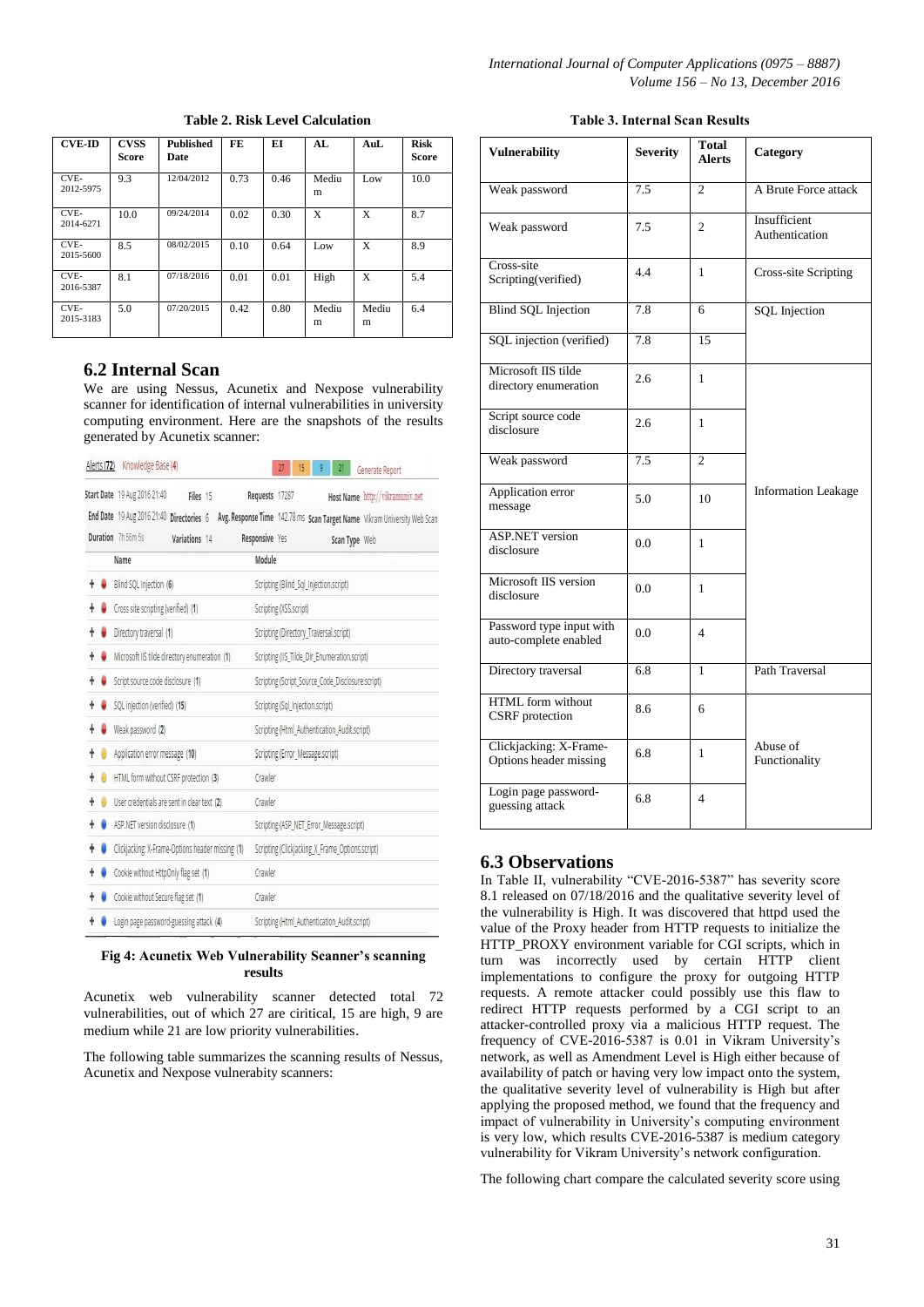| <b>CVE-ID</b>     | <b>CVSS</b><br><b>Score</b> | <b>Published</b><br>Date | FE   | EI   | AI.        | AuL        | <b>Risk</b><br><b>Score</b> |
|-------------------|-----------------------------|--------------------------|------|------|------------|------------|-----------------------------|
| CVE-<br>2012-5975 | 9.3                         | 12/04/2012               | 0.73 | 0.46 | Mediu<br>m | Low        | 10.0                        |
| CVE-<br>2014-6271 | 10.0                        | 09/24/2014               | 0.02 | 0.30 | X          | X          | 8.7                         |
| CVE-<br>2015-5600 | 8.5                         | 08/02/2015               | 0.10 | 0.64 | Low        | X          | 8.9                         |
| CVE-<br>2016-5387 | 8.1                         | 07/18/2016               | 0.01 | 0.01 | High       | X          | 5.4                         |
| CVE-<br>2015-3183 | 5.0                         | 07/20/2015               | 0.42 | 0.80 | Mediu<br>m | Mediu<br>m | 6.4                         |

## **Table 2. Risk Level Calculation**

# **6.2 Internal Scan**

We are using Nessus, Acunetix and Nexpose vulnerability scanner for identification of internal vulnerabilities in university computing environment. Here are the snapshots of the results generated by Acunetix scanner:

| Alerts (72) Knowledge Base (4)                   |               |  |                | 15<br>27                                         | g                                            | 21            | Generate Report                                                          |  |  |
|--------------------------------------------------|---------------|--|----------------|--------------------------------------------------|----------------------------------------------|---------------|--------------------------------------------------------------------------|--|--|
| Start Date 19 Aug 2016 21:40                     | Files 15      |  | Requests 17287 |                                                  |                                              |               | Host Name http://vikramuniv.net                                          |  |  |
| End Date 19 Aug 2016 21:40 Directories 6         |               |  |                |                                                  |                                              |               | Avg. Response Time 142.78 ms Scan Target Name Vikram University Web Scan |  |  |
| Duration 7h 56m 5s                               | Variations 14 |  | Responsive Yes |                                                  |                                              | Scan Type Web |                                                                          |  |  |
| Name                                             |               |  | Module         |                                                  |                                              |               |                                                                          |  |  |
| Blind SQL Injection (6)                          |               |  |                | Scripting (Blind_Sql_Injection.script)           |                                              |               |                                                                          |  |  |
| Cross site scripting (verified) (1)              |               |  |                | Scripting (XSS.script)                           |                                              |               |                                                                          |  |  |
| Directory traversal (1)                          |               |  |                | Scripting (Directory_Traversal.script)           |                                              |               |                                                                          |  |  |
| Microsoft IIS tilde directory enumeration (1)    |               |  |                | Scripting (IIS_Tilde_Dir_Enumeration.script)     |                                              |               |                                                                          |  |  |
| Script source code disclosure (1)                |               |  |                | Scripting (Script_Source_Code_Disclosure.script) |                                              |               |                                                                          |  |  |
| SQL injection (verified) (15)                    |               |  |                | Scripting (Sql_Injection.script)                 |                                              |               |                                                                          |  |  |
| Weak password (2)                                |               |  |                | Scripting (Html_Authentication_Audit.script)     |                                              |               |                                                                          |  |  |
| Application error message (10)                   |               |  |                | Scripting (Error_Message.script)                 |                                              |               |                                                                          |  |  |
| HTML form without CSRF protection (3)            |               |  |                | Crawler                                          |                                              |               |                                                                          |  |  |
| User credentials are sent in clear text (2)      |               |  |                | Crawler                                          |                                              |               |                                                                          |  |  |
| ASP.NET version disclosure (1)                   |               |  |                | Scripting (ASP_NET_Error_Message.script)         |                                              |               |                                                                          |  |  |
| Clickjacking: X-Frame-Options header missing (1) |               |  |                | Scripting (Clickjacking_X_Frame_Options.script)  |                                              |               |                                                                          |  |  |
| Cookie without HttpOnly flag set (1)             |               |  | Crawler        |                                                  |                                              |               |                                                                          |  |  |
| Cookie without Secure flag set (1)               |               |  | Crawler        |                                                  |                                              |               |                                                                          |  |  |
| Login page password-guessing attack (4)          |               |  |                |                                                  | Scripting (Html Authentication Audit.script) |               |                                                                          |  |  |

#### **Fig 4: Acunetix Web Vulnerability Scanner's scanning results**

Acunetix web vulnerability scanner detected total 72 vulnerabilities, out of which 27 are ciritical, 15 are high, 9 are medium while 21 are low priority vulnerabilities.

The following table summarizes the scanning results of Nessus, Acunetix and Nexpose vulnerabity scanners:

#### **Table 3. Internal Scan Results**

| <b>Vulnerability</b>                              | <b>Severity</b> | <b>Total</b><br><b>Alerts</b> | Category                       |  |
|---------------------------------------------------|-----------------|-------------------------------|--------------------------------|--|
| Weak password                                     | 7.5             | $\overline{c}$                | A Brute Force attack           |  |
| Weak password                                     | 7.5             | $\overline{c}$                | Insufficient<br>Authentication |  |
| Cross-site<br>Scripting(verified)                 | 4.4             | 1                             | <b>Cross-site Scripting</b>    |  |
| <b>Blind SQL Injection</b>                        | 7.8             | 6                             | <b>SQL</b> Injection           |  |
| SQL injection (verified)                          | 7.8             | 15                            |                                |  |
| Microsoft IIS tilde<br>directory enumeration      | 2.6             | 1                             |                                |  |
| Script source code<br>disclosure                  | 2.6             | $\mathbf{1}$                  |                                |  |
| Weak password                                     | 7.5             | $\overline{c}$                |                                |  |
| Application error<br>message                      | 5.0             | 10                            | <b>Information Leakage</b>     |  |
| <b>ASP.NET</b> version<br>disclosure              | 0.0             | 1                             |                                |  |
| Microsoft IIS version<br>disclosure               | 0.0             | 1                             |                                |  |
| Password type input with<br>auto-complete enabled | 0.0             | $\overline{4}$                |                                |  |
| Directory traversal                               | 6.8             | $\mathbf{1}$                  | Path Traversal                 |  |
| HTML form without<br>CSRF protection              | 8.6             | 6                             |                                |  |
| Clickjacking: X-Frame-<br>Options header missing  | 6.8             | 1                             | Abuse of<br>Functionality      |  |
| Login page password-<br>guessing attack           | 6.8             | $\overline{4}$                |                                |  |

## **6.3 Observations**

In Table II, vulnerability "CVE-2016-5387" has severity score 8.1 released on 07/18/2016 and the qualitative severity level of the vulnerability is High. It was discovered that httpd used the value of the Proxy header from HTTP requests to initialize the HTTP\_PROXY environment variable for CGI scripts, which in turn was incorrectly used by certain HTTP client implementations to configure the proxy for outgoing HTTP requests. A remote attacker could possibly use this flaw to redirect HTTP requests performed by a CGI script to an attacker-controlled proxy via a malicious HTTP request. The frequency of CVE-2016-5387 is 0.01 in Vikram University's network, as well as Amendment Level is High either because of availability of patch or having very low impact onto the system, the qualitative severity level of vulnerability is High but after applying the proposed method, we found that the frequency and impact of vulnerability in University's computing environment is very low, which results CVE-2016-5387 is medium category vulnerability for Vikram University's network configuration.

The following chart compare the calculated severity score using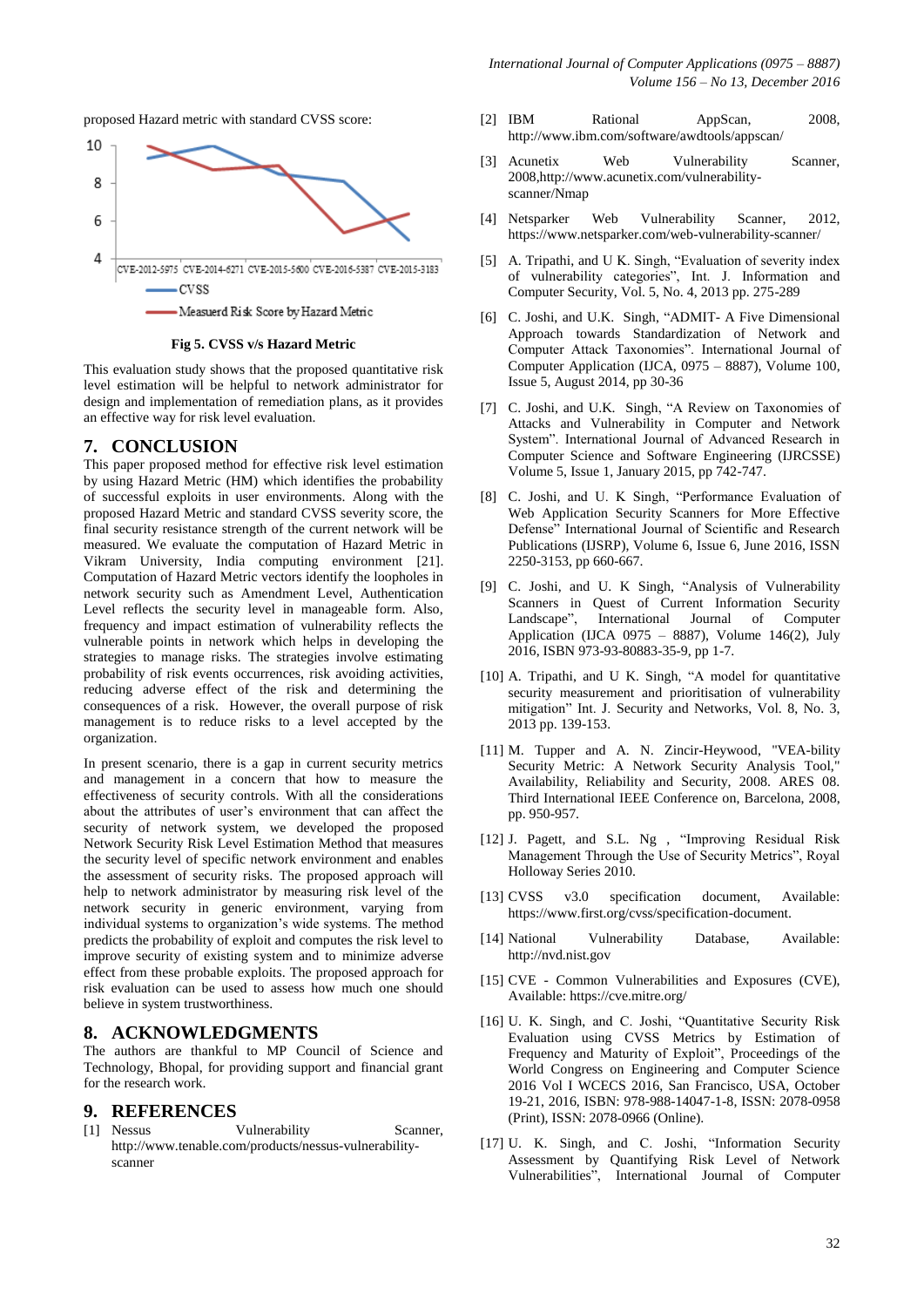proposed Hazard metric with standard CVSS score:



**Fig 5. CVSS v/s Hazard Metric**

This evaluation study shows that the proposed quantitative risk level estimation will be helpful to network administrator for design and implementation of remediation plans, as it provides an effective way for risk level evaluation.

## **7. CONCLUSION**

This paper proposed method for effective risk level estimation by using Hazard Metric (HM) which identifies the probability of successful exploits in user environments. Along with the proposed Hazard Metric and standard CVSS severity score, the final security resistance strength of the current network will be measured. We evaluate the computation of Hazard Metric in Vikram University, India computing environment [21]. Computation of Hazard Metric vectors identify the loopholes in network security such as Amendment Level, Authentication Level reflects the security level in manageable form. Also, frequency and impact estimation of vulnerability reflects the vulnerable points in network which helps in developing the strategies to manage risks. The strategies involve estimating probability of risk events occurrences, risk avoiding activities, reducing adverse effect of the risk and determining the consequences of a risk. However, the overall purpose of risk management is to reduce risks to a level accepted by the organization.

In present scenario, there is a gap in current security metrics and management in a concern that how to measure the effectiveness of security controls. With all the considerations about the attributes of user's environment that can affect the security of network system, we developed the proposed Network Security Risk Level Estimation Method that measures the security level of specific network environment and enables the assessment of security risks. The proposed approach will help to network administrator by measuring risk level of the network security in generic environment, varying from individual systems to organization's wide systems. The method predicts the probability of exploit and computes the risk level to improve security of existing system and to minimize adverse effect from these probable exploits. The proposed approach for risk evaluation can be used to assess how much one should believe in system trustworthiness.

## **8. ACKNOWLEDGMENTS**

The authors are thankful to MP Council of Science and Technology, Bhopal, for providing support and financial grant for the research work.

# **9. REFERENCES**

Vulnerability Scanner, http://www.tenable.com/products/nessus-vulnerabilityscanner

- [2] IBM Rational AppScan, 2008, http://www.ibm.com/software/awdtools/appscan/
- [3] Acunetix Web Vulnerability Scanner, 2008,http://www.acunetix.com/vulnerabilityscanner/Nmap
- [4] Netsparker Web Vulnerability Scanner, 2012, https://www.netsparker.com/web-vulnerability-scanner/
- [5] A. Tripathi, and U K. Singh, "Evaluation of severity index of vulnerability categories", Int. J. Information and Computer Security, Vol. 5, No. 4, 2013 pp. 275-289
- [6] C. Joshi, and U.K. Singh, "ADMIT- A Five Dimensional Approach towards Standardization of Network and Computer Attack Taxonomies". International Journal of Computer Application (IJCA, 0975 – 8887), Volume 100, Issue 5, August 2014, pp 30-36
- [7] C. Joshi, and U.K. Singh, "A Review on Taxonomies of Attacks and Vulnerability in Computer and Network System". International Journal of Advanced Research in Computer Science and Software Engineering (IJRCSSE) Volume 5, Issue 1, January 2015, pp 742-747.
- [8] C. Joshi, and U. K Singh, "Performance Evaluation of Web Application Security Scanners for More Effective Defense" International Journal of Scientific and Research Publications (IJSRP), Volume 6, Issue 6, June 2016, ISSN 2250-3153, pp 660-667.
- [9] C. Joshi, and U. K Singh, "Analysis of Vulnerability Scanners in Quest of Current Information Security Landscape", International Journal of Computer Application (IJCA 0975 – 8887), Volume 146(2), July 2016, ISBN 973-93-80883-35-9, pp 1-7.
- [10] A. Tripathi, and U K. Singh, "A model for quantitative security measurement and prioritisation of vulnerability mitigation" Int. J. Security and Networks, Vol. 8, No. 3, 2013 pp. 139-153.
- [11] M. Tupper and A. N. Zincir-Heywood, "VEA-bility Security Metric: A Network Security Analysis Tool," Availability, Reliability and Security, 2008. ARES 08. Third International IEEE Conference on, Barcelona, 2008, pp. 950-957.
- [12] J. Pagett, and S.L. Ng , "Improving Residual Risk Management Through the Use of Security Metrics", Royal Holloway Series 2010.
- [13] CVSS v3.0 specification document, Available: https://www.first.org/cvss/specification-document.
- [14] National Vulnerability Database, Available: http://nvd.nist.gov
- [15] CVE Common Vulnerabilities and Exposures (CVE), Available: https://cve.mitre.org/
- [16] U. K. Singh, and C. Joshi, "Quantitative Security Risk Evaluation using CVSS Metrics by Estimation of Frequency and Maturity of Exploit", Proceedings of the World Congress on Engineering and Computer Science 2016 Vol I WCECS 2016, San Francisco, USA, October 19-21, 2016, ISBN: 978-988-14047-1-8, ISSN: 2078-0958 (Print), ISSN: 2078-0966 (Online).
- [17] U. K. Singh, and C. Joshi, "Information Security Assessment by Quantifying Risk Level of Network Vulnerabilities", International Journal of Computer